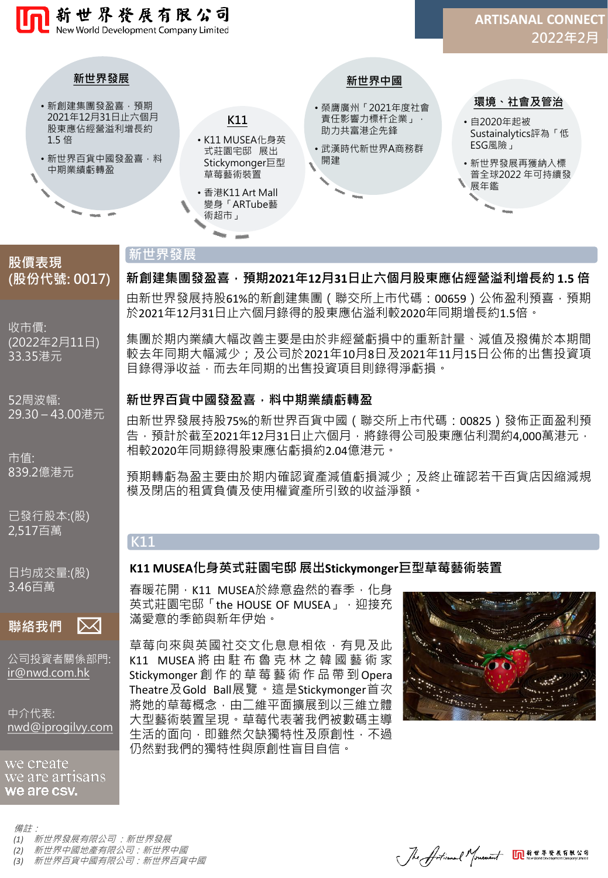

# **新世界發展**

**K11**

**(股份代號: 0017)**

**股價表現**

收市價: (2022年2月11日) 33.35港元

52周波幅: 29.30 – 43.00港元

市值: 839.2億港元

已發行股本:(股) 2,517百萬

日均成交量:(股) 3.46百萬

 $|\!\!\!\times\!\!\!\times\!\!|$ **聯絡我們**

公司投資者關係部門: [ir@nwd.com.hk](mailto:ir@nwd.com.hk)

中介代表: [nwd@iprogilvy.com](mailto:nwd@iprogilvy.com)

we create we are artisans we are csv.

備註: *(1)* 新世界發展有限公司 :新世界發展

- *(2)* 新世界中國地產有限公司:新世界中國
- *(3)* 新世界百貨中國有限公司:新世界百貨中國

由新世界發展持股61%的新創建集團 ( 聯交所上市代碼: 00659 ) 公佈盈利預喜, 預期 於2021年12月31日止六個月錄得的股東應佔溢利較2020年同期增長約1.5倍。 **新創建集團發盈喜,預期2021年12月31日止六個月股東應佔經營溢利增長約 1.5 倍**

集團於期内業績大幅改善主要是由於非經營虧損中的重新計量、減值及撥備於本期間 較去年同期大幅減少:及公司於2021年10月8日及2021年11月15日公佈的出售投資項 目錄得淨收益,而去年同期的出售投資項目則錄得淨虧損。

#### **新世界百貨中國發盈喜,料中期業績虧轉盈**

由新世界發展持股75%的新世界百貨中國(聯交所上市代碼:00825)發佈正面盈利預 告,預計於截至2021年12月31日止六個月,將錄得公司股東應佔利潤約4,000萬港元, 相較2020年同期錄得股東應佔虧損約2.04億港元。

預期轉虧為盈主要由於期内確認資產減值虧損減少;及終止確認若干百貨店因縮減規 模及閉店的租賃負債及使用權資產所引致的收益淨額。

# **K11 MUSEA化身英式莊園宅邸 展出Stickymonger巨型草莓藝術裝置**

春暖花開, K11 MUSEA於綠意盎然的春季, 化身 英式莊園宅邸「the HOUSE OF MUSEA」, 迎接充 滿愛意的季節與新年伊始。

草莓向來與英國社交文化息息相依,有見及此 K11 MUSEA 將 由 駐 布 魯 克 林 之 韓 國 藝 術 家 Stickymonger 創 作 的 草 莓 藝 術 作 品 帶 到Opera Theatre及Gold Ball展覽。這是Stickymonger首次 將她的草莓概念,由二維平面擴展到以三維立體 大型藝術裝置呈現。草莓代表著我們被數碼主導 生活的面向,即雖然欠缺獨特性及原創性,不過 仍然對我們的獨特性與原創性盲目自信。



Jhe Articanal Mouement On \*\*\*\*\*\*\*\*\*\*\*\*